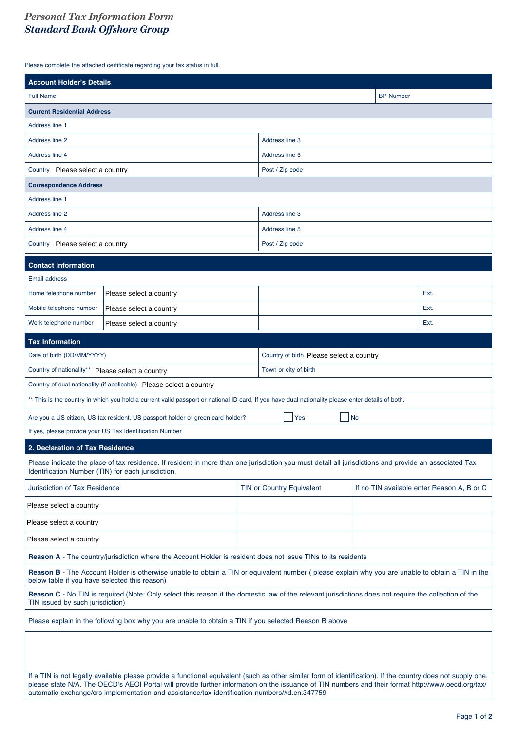## *Personal Tax Information Form Standard Bank Off shore Group*

Please complete the attached certificate regarding your tax status in full.

| <b>Account Holder's Details</b>                                                                                                                                                                                                                                                                                                                                                                                    |                         |  |                           |                                            |      |  |
|--------------------------------------------------------------------------------------------------------------------------------------------------------------------------------------------------------------------------------------------------------------------------------------------------------------------------------------------------------------------------------------------------------------------|-------------------------|--|---------------------------|--------------------------------------------|------|--|
| <b>Full Name</b>                                                                                                                                                                                                                                                                                                                                                                                                   |                         |  | <b>BP Number</b>          |                                            |      |  |
| <b>Current Residential Address</b>                                                                                                                                                                                                                                                                                                                                                                                 |                         |  |                           |                                            |      |  |
| Address line 1                                                                                                                                                                                                                                                                                                                                                                                                     |                         |  |                           |                                            |      |  |
| <b>Address line 2</b>                                                                                                                                                                                                                                                                                                                                                                                              |                         |  | Address line 3            |                                            |      |  |
| Address line 4                                                                                                                                                                                                                                                                                                                                                                                                     |                         |  | Address line 5            |                                            |      |  |
| Country Please select a country                                                                                                                                                                                                                                                                                                                                                                                    |                         |  | Post / Zip code           |                                            |      |  |
| <b>Correspondence Address</b>                                                                                                                                                                                                                                                                                                                                                                                      |                         |  |                           |                                            |      |  |
| Address line 1                                                                                                                                                                                                                                                                                                                                                                                                     |                         |  |                           |                                            |      |  |
| <b>Address line 2</b>                                                                                                                                                                                                                                                                                                                                                                                              |                         |  | Address line 3            |                                            |      |  |
| Address line 4                                                                                                                                                                                                                                                                                                                                                                                                     |                         |  | Address line 5            |                                            |      |  |
| Country Please select a country                                                                                                                                                                                                                                                                                                                                                                                    |                         |  | Post / Zip code           |                                            |      |  |
| <b>Contact Information</b>                                                                                                                                                                                                                                                                                                                                                                                         |                         |  |                           |                                            |      |  |
| <b>Email address</b>                                                                                                                                                                                                                                                                                                                                                                                               |                         |  |                           |                                            |      |  |
| Home telephone number                                                                                                                                                                                                                                                                                                                                                                                              | Please select a country |  |                           |                                            | Ext. |  |
| Mobile telephone number<br>Please select a country                                                                                                                                                                                                                                                                                                                                                                 |                         |  |                           | Ext.                                       |      |  |
| Work telephone number<br>Please select a country                                                                                                                                                                                                                                                                                                                                                                   |                         |  |                           |                                            | Ext. |  |
| <b>Tax Information</b>                                                                                                                                                                                                                                                                                                                                                                                             |                         |  |                           |                                            |      |  |
| Date of birth (DD/MM/YYYY)<br>Country of birth Please select a country                                                                                                                                                                                                                                                                                                                                             |                         |  |                           |                                            |      |  |
| Country of nationality** Please select a country                                                                                                                                                                                                                                                                                                                                                                   |                         |  | Town or city of birth     |                                            |      |  |
| Country of dual nationality (if applicable) Please select a country                                                                                                                                                                                                                                                                                                                                                |                         |  |                           |                                            |      |  |
| ** This is the country in which you hold a current valid passport or national ID card, If you have dual nationality please enter details of both.                                                                                                                                                                                                                                                                  |                         |  |                           |                                            |      |  |
| No<br>Are you a US citizen, US tax resident, US passport holder or green card holder?<br>Yes                                                                                                                                                                                                                                                                                                                       |                         |  |                           |                                            |      |  |
| If yes, please provide your US Tax Identification Number                                                                                                                                                                                                                                                                                                                                                           |                         |  |                           |                                            |      |  |
| 2. Declaration of Tax Residence                                                                                                                                                                                                                                                                                                                                                                                    |                         |  |                           |                                            |      |  |
| Please indicate the place of tax residence. If resident in more than one jurisdiction you must detail all jurisdictions and provide an associated Tax<br>Identification Number (TIN) for each jurisdiction.                                                                                                                                                                                                        |                         |  |                           |                                            |      |  |
| <b>Jurisdiction of Tax Residence</b>                                                                                                                                                                                                                                                                                                                                                                               |                         |  | TIN or Country Equivalent | If no TIN available enter Reason A, B or C |      |  |
| Please select a country                                                                                                                                                                                                                                                                                                                                                                                            |                         |  |                           |                                            |      |  |
| Please select a country                                                                                                                                                                                                                                                                                                                                                                                            |                         |  |                           |                                            |      |  |
| Please select a country                                                                                                                                                                                                                                                                                                                                                                                            |                         |  |                           |                                            |      |  |
| Reason A - The country/jurisdiction where the Account Holder is resident does not issue TINs to its residents                                                                                                                                                                                                                                                                                                      |                         |  |                           |                                            |      |  |
| Reason B - The Account Holder is otherwise unable to obtain a TIN or equivalent number (please explain why you are unable to obtain a TIN in the<br>below table if you have selected this reason)                                                                                                                                                                                                                  |                         |  |                           |                                            |      |  |
| Reason C - No TIN is required. (Note: Only select this reason if the domestic law of the relevant jurisdictions does not require the collection of the<br>TIN issued by such jurisdiction)                                                                                                                                                                                                                         |                         |  |                           |                                            |      |  |
| Please explain in the following box why you are unable to obtain a TIN if you selected Reason B above                                                                                                                                                                                                                                                                                                              |                         |  |                           |                                            |      |  |
| If a TIN is not legally available please provide a functional equivalent (such as other similar form of identification). If the country does not supply one,<br>please state N/A. The OECD's AEOI Portal will provide further information on the issuance of TIN numbers and their format http://www.oecd.org/tax/<br>automatic-exchange/crs-implementation-and-assistance/tax-identification-numbers/#d.en.347759 |                         |  |                           |                                            |      |  |